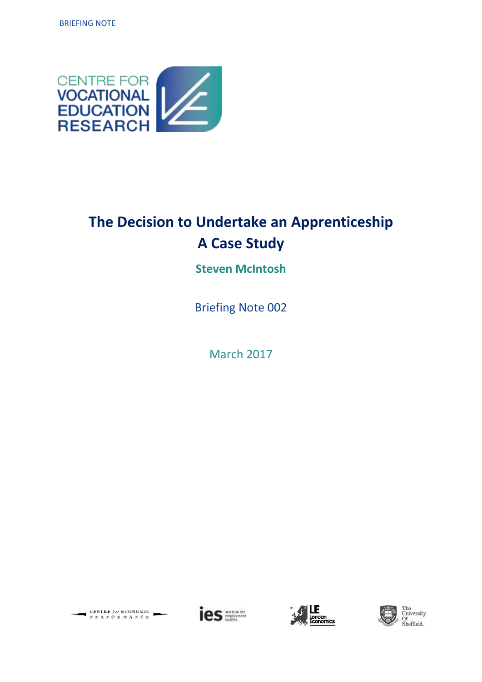

# **The Decision to Undertake an Apprenticeship A Case Study**

## **Steven McIntosh**

Briefing Note 002

March 2017





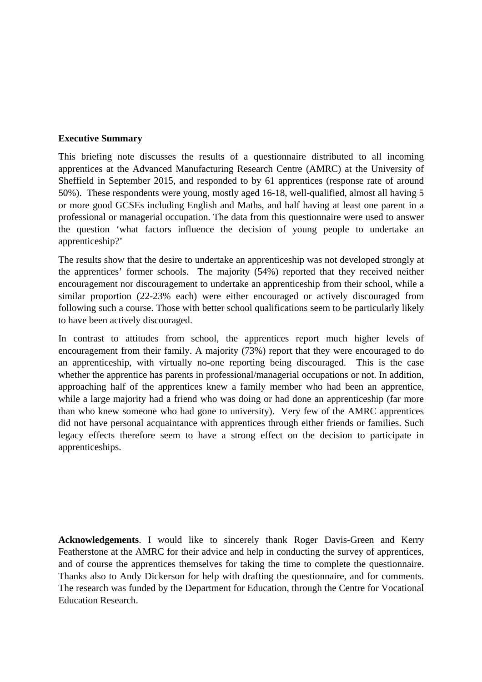#### **Executive Summary**

This briefing note discusses the results of a questionnaire distributed to all incoming apprentices at the Advanced Manufacturing Research Centre (AMRC) at the University of Sheffield in September 2015, and responded to by 61 apprentices (response rate of around 50%). These respondents were young, mostly aged 16-18, well-qualified, almost all having 5 or more good GCSEs including English and Maths, and half having at least one parent in a professional or managerial occupation. The data from this questionnaire were used to answer the question 'what factors influence the decision of young people to undertake an apprenticeship?'

The results show that the desire to undertake an apprenticeship was not developed strongly at the apprentices' former schools. The majority (54%) reported that they received neither encouragement nor discouragement to undertake an apprenticeship from their school, while a similar proportion (22-23% each) were either encouraged or actively discouraged from following such a course. Those with better school qualifications seem to be particularly likely to have been actively discouraged.

In contrast to attitudes from school, the apprentices report much higher levels of encouragement from their family. A majority (73%) report that they were encouraged to do an apprenticeship, with virtually no-one reporting being discouraged. This is the case whether the apprentice has parents in professional/managerial occupations or not. In addition, approaching half of the apprentices knew a family member who had been an apprentice, while a large majority had a friend who was doing or had done an apprenticeship (far more than who knew someone who had gone to university). Very few of the AMRC apprentices did not have personal acquaintance with apprentices through either friends or families. Such legacy effects therefore seem to have a strong effect on the decision to participate in apprenticeships.

**Acknowledgements**. I would like to sincerely thank Roger Davis-Green and Kerry Featherstone at the AMRC for their advice and help in conducting the survey of apprentices, and of course the apprentices themselves for taking the time to complete the questionnaire. Thanks also to Andy Dickerson for help with drafting the questionnaire, and for comments. The research was funded by the Department for Education, through the Centre for Vocational Education Research.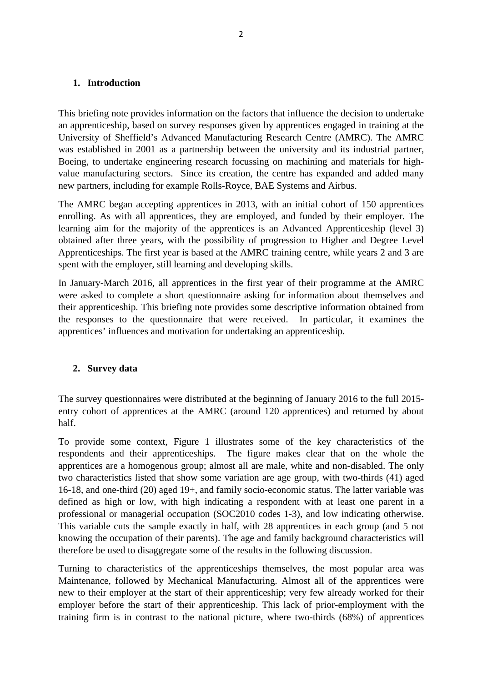#### **1. Introduction**

This briefing note provides information on the factors that influence the decision to undertake an apprenticeship, based on survey responses given by apprentices engaged in training at the University of Sheffield's Advanced Manufacturing Research Centre (AMRC). The AMRC was established in 2001 as a partnership between the university and its industrial partner, Boeing, to undertake engineering research focussing on machining and materials for highvalue manufacturing sectors. Since its creation, the centre has expanded and added many new partners, including for example Rolls-Royce, BAE Systems and Airbus.

The AMRC began accepting apprentices in 2013, with an initial cohort of 150 apprentices enrolling. As with all apprentices, they are employed, and funded by their employer. The learning aim for the majority of the apprentices is an Advanced Apprenticeship (level 3) obtained after three years, with the possibility of progression to Higher and Degree Level Apprenticeships. The first year is based at the AMRC training centre, while years 2 and 3 are spent with the employer, still learning and developing skills.

In January-March 2016, all apprentices in the first year of their programme at the AMRC were asked to complete a short questionnaire asking for information about themselves and their apprenticeship. This briefing note provides some descriptive information obtained from the responses to the questionnaire that were received. In particular, it examines the apprentices' influences and motivation for undertaking an apprenticeship.

#### **2. Survey data**

The survey questionnaires were distributed at the beginning of January 2016 to the full 2015 entry cohort of apprentices at the AMRC (around 120 apprentices) and returned by about half.

To provide some context, Figure 1 illustrates some of the key characteristics of the respondents and their apprenticeships. The figure makes clear that on the whole the apprentices are a homogenous group; almost all are male, white and non-disabled. The only two characteristics listed that show some variation are age group, with two-thirds (41) aged 16-18, and one-third (20) aged 19+, and family socio-economic status. The latter variable was defined as high or low, with high indicating a respondent with at least one parent in a professional or managerial occupation (SOC2010 codes 1-3), and low indicating otherwise. This variable cuts the sample exactly in half, with 28 apprentices in each group (and 5 not knowing the occupation of their parents). The age and family background characteristics will therefore be used to disaggregate some of the results in the following discussion.

Turning to characteristics of the apprenticeships themselves, the most popular area was Maintenance, followed by Mechanical Manufacturing. Almost all of the apprentices were new to their employer at the start of their apprenticeship; very few already worked for their employer before the start of their apprenticeship. This lack of prior-employment with the training firm is in contrast to the national picture, where two-thirds (68%) of apprentices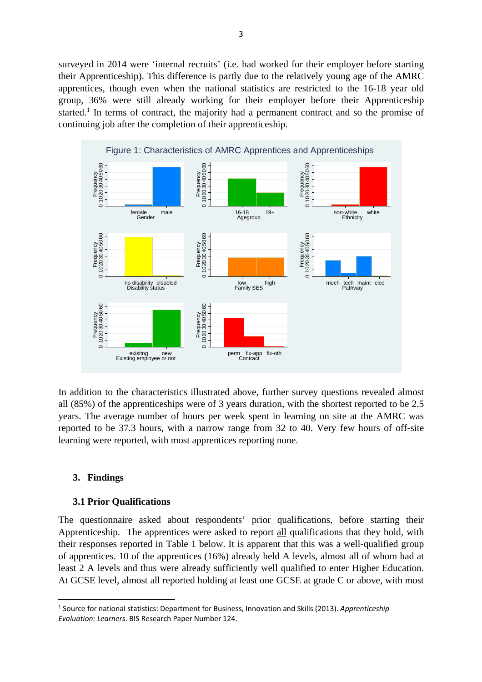surveyed in 2014 were 'internal recruits' (i.e. had worked for their employer before starting their Apprenticeship). This difference is partly due to the relatively young age of the AMRC apprentices, though even when the national statistics are restricted to the 16-18 year old group, 36% were still already working for their employer before their Apprenticeship started.<sup>1</sup> In terms of contract, the majority had a permanent contract and so the promise of continuing job after the completion of their apprenticeship.



In addition to the characteristics illustrated above, further survey questions revealed almost all (85%) of the apprenticeships were of 3 years duration, with the shortest reported to be 2.5 years. The average number of hours per week spent in learning on site at the AMRC was reported to be 37.3 hours, with a narrow range from 32 to 40. Very few hours of off-site learning were reported, with most apprentices reporting none.

#### **3. Findings**

#### **3.1 Prior Qualifications**

The questionnaire asked about respondents' prior qualifications, before starting their Apprenticeship. The apprentices were asked to report all qualifications that they hold, with their responses reported in Table 1 below. It is apparent that this was a well-qualified group of apprentices. 10 of the apprentices (16%) already held A levels, almost all of whom had at least 2 A levels and thus were already sufficiently well qualified to enter Higher Education. At GCSE level, almost all reported holding at least one GCSE at grade C or above, with most

<sup>1</sup> Source for national statistics: Department for Business, Innovation and Skills (2013). *Apprenticeship Evaluation: Learners*. BIS Research Paper Number 124.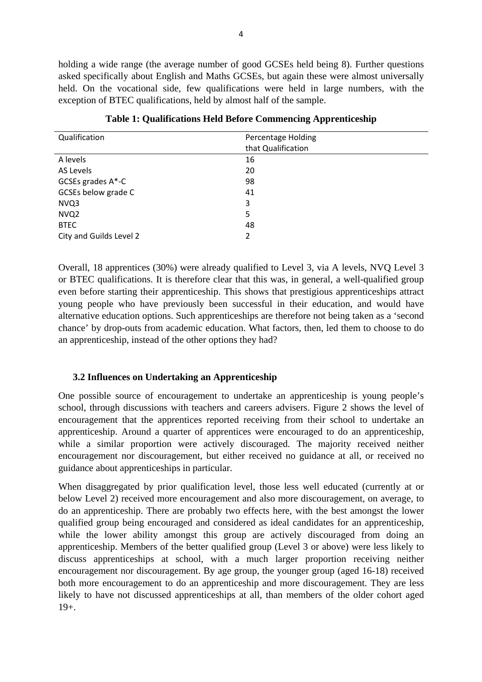holding a wide range (the average number of good GCSEs held being 8). Further questions asked specifically about English and Maths GCSEs, but again these were almost universally held. On the vocational side, few qualifications were held in large numbers, with the exception of BTEC qualifications, held by almost half of the sample.

| Qualification           | <b>Percentage Holding</b><br>that Qualification |
|-------------------------|-------------------------------------------------|
| A levels                | 16                                              |
| AS Levels               | 20                                              |
| GCSEs grades A*-C       | 98                                              |
| GCSEs below grade C     | 41                                              |
| NVQ3                    | 3                                               |
| NVQ <sub>2</sub>        | 5                                               |
| <b>BTEC</b>             | 48                                              |
| City and Guilds Level 2 | 2                                               |

**Table 1: Qualifications Held Before Commencing Apprenticeship** 

Overall, 18 apprentices (30%) were already qualified to Level 3, via A levels, NVQ Level 3 or BTEC qualifications. It is therefore clear that this was, in general, a well-qualified group even before starting their apprenticeship. This shows that prestigious apprenticeships attract young people who have previously been successful in their education, and would have alternative education options. Such apprenticeships are therefore not being taken as a 'second chance' by drop-outs from academic education. What factors, then, led them to choose to do an apprenticeship, instead of the other options they had?

#### **3.2 Influences on Undertaking an Apprenticeship**

One possible source of encouragement to undertake an apprenticeship is young people's school, through discussions with teachers and careers advisers. Figure 2 shows the level of encouragement that the apprentices reported receiving from their school to undertake an apprenticeship. Around a quarter of apprentices were encouraged to do an apprenticeship, while a similar proportion were actively discouraged. The majority received neither encouragement nor discouragement, but either received no guidance at all, or received no guidance about apprenticeships in particular.

When disaggregated by prior qualification level, those less well educated (currently at or below Level 2) received more encouragement and also more discouragement, on average, to do an apprenticeship. There are probably two effects here, with the best amongst the lower qualified group being encouraged and considered as ideal candidates for an apprenticeship, while the lower ability amongst this group are actively discouraged from doing an apprenticeship. Members of the better qualified group (Level 3 or above) were less likely to discuss apprenticeships at school, with a much larger proportion receiving neither encouragement nor discouragement. By age group, the younger group (aged 16-18) received both more encouragement to do an apprenticeship and more discouragement. They are less likely to have not discussed apprenticeships at all, than members of the older cohort aged 19+.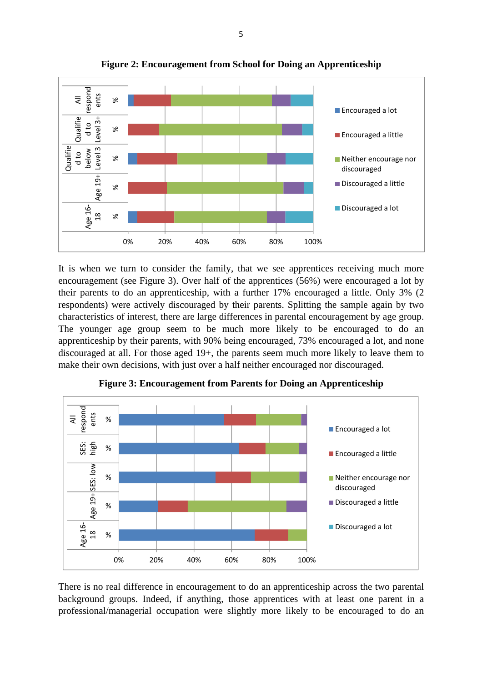

**Figure 2: Encouragement from School for Doing an Apprenticeship** 

It is when we turn to consider the family, that we see apprentices receiving much more encouragement (see Figure 3). Over half of the apprentices (56%) were encouraged a lot by their parents to do an apprenticeship, with a further 17% encouraged a little. Only 3% (2 respondents) were actively discouraged by their parents. Splitting the sample again by two characteristics of interest, there are large differences in parental encouragement by age group. The younger age group seem to be much more likely to be encouraged to do an apprenticeship by their parents, with 90% being encouraged, 73% encouraged a lot, and none discouraged at all. For those aged 19+, the parents seem much more likely to leave them to make their own decisions, with just over a half neither encouraged nor discouraged.



**Figure 3: Encouragement from Parents for Doing an Apprenticeship** 

There is no real difference in encouragement to do an apprenticeship across the two parental background groups. Indeed, if anything, those apprentices with at least one parent in a professional/managerial occupation were slightly more likely to be encouraged to do an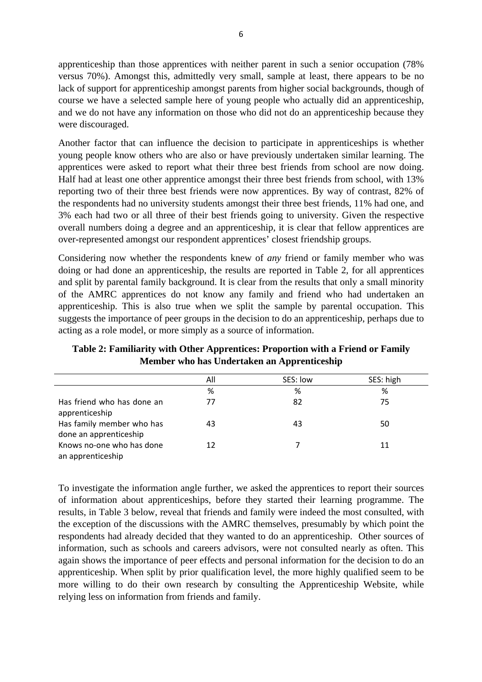apprenticeship than those apprentices with neither parent in such a senior occupation (78% versus 70%). Amongst this, admittedly very small, sample at least, there appears to be no lack of support for apprenticeship amongst parents from higher social backgrounds, though of course we have a selected sample here of young people who actually did an apprenticeship, and we do not have any information on those who did not do an apprenticeship because they were discouraged.

Another factor that can influence the decision to participate in apprenticeships is whether young people know others who are also or have previously undertaken similar learning. The apprentices were asked to report what their three best friends from school are now doing. Half had at least one other apprentice amongst their three best friends from school, with 13% reporting two of their three best friends were now apprentices. By way of contrast, 82% of the respondents had no university students amongst their three best friends, 11% had one, and 3% each had two or all three of their best friends going to university. Given the respective overall numbers doing a degree and an apprenticeship, it is clear that fellow apprentices are over-represented amongst our respondent apprentices' closest friendship groups.

Considering now whether the respondents knew of *any* friend or family member who was doing or had done an apprenticeship, the results are reported in Table 2, for all apprentices and split by parental family background. It is clear from the results that only a small minority of the AMRC apprentices do not know any family and friend who had undertaken an apprenticeship. This is also true when we split the sample by parental occupation. This suggests the importance of peer groups in the decision to do an apprenticeship, perhaps due to acting as a role model, or more simply as a source of information.

|                                                     | All | SES: low | SES: high |
|-----------------------------------------------------|-----|----------|-----------|
|                                                     | %   | %        | %         |
| Has friend who has done an<br>apprenticeship        | 77  | 82       | 75        |
| Has family member who has<br>done an apprenticeship | 43  | 43       | 50        |
| Knows no-one who has done<br>an apprenticeship      | 12  |          | 11        |

**Table 2: Familiarity with Other Apprentices: Proportion with a Friend or Family Member who has Undertaken an Apprenticeship** 

To investigate the information angle further, we asked the apprentices to report their sources of information about apprenticeships, before they started their learning programme. The results, in Table 3 below, reveal that friends and family were indeed the most consulted, with the exception of the discussions with the AMRC themselves, presumably by which point the respondents had already decided that they wanted to do an apprenticeship. Other sources of information, such as schools and careers advisors, were not consulted nearly as often. This again shows the importance of peer effects and personal information for the decision to do an apprenticeship. When split by prior qualification level, the more highly qualified seem to be more willing to do their own research by consulting the Apprenticeship Website, while relying less on information from friends and family.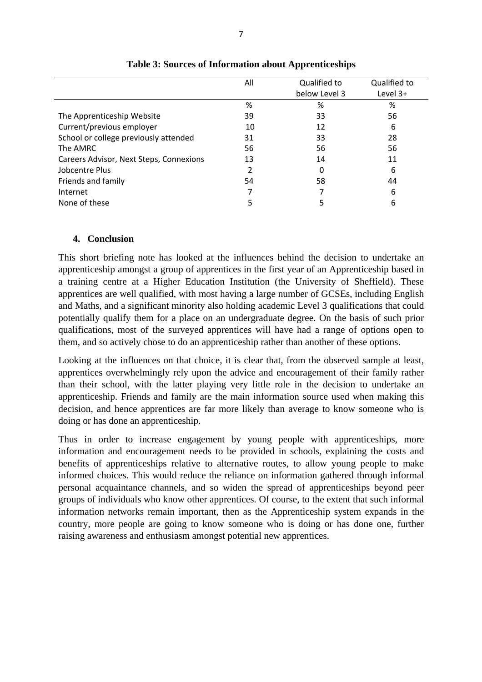|                                         | All | Qualified to  | Qualified to |
|-----------------------------------------|-----|---------------|--------------|
|                                         |     | below Level 3 | Level 3+     |
|                                         | %   | ℅             | ℅            |
| The Apprenticeship Website              | 39  | 33            | 56           |
| Current/previous employer               | 10  | 12            | 6            |
| School or college previously attended   | 31  | 33            | 28           |
| The AMRC                                | 56  | 56            | 56           |
| Careers Advisor, Next Steps, Connexions | 13  | 14            | 11           |
| Jobcentre Plus                          | 2   | 0             | 6            |
| Friends and family                      | 54  | 58            | 44           |
| Internet                                | 7   |               | 6            |
| None of these                           | 5   | 5             | 6            |

**Table 3: Sources of Information about Apprenticeships** 

#### **4. Conclusion**

This short briefing note has looked at the influences behind the decision to undertake an apprenticeship amongst a group of apprentices in the first year of an Apprenticeship based in a training centre at a Higher Education Institution (the University of Sheffield). These apprentices are well qualified, with most having a large number of GCSEs, including English and Maths, and a significant minority also holding academic Level 3 qualifications that could potentially qualify them for a place on an undergraduate degree. On the basis of such prior qualifications, most of the surveyed apprentices will have had a range of options open to them, and so actively chose to do an apprenticeship rather than another of these options.

Looking at the influences on that choice, it is clear that, from the observed sample at least, apprentices overwhelmingly rely upon the advice and encouragement of their family rather than their school, with the latter playing very little role in the decision to undertake an apprenticeship. Friends and family are the main information source used when making this decision, and hence apprentices are far more likely than average to know someone who is doing or has done an apprenticeship.

Thus in order to increase engagement by young people with apprenticeships, more information and encouragement needs to be provided in schools, explaining the costs and benefits of apprenticeships relative to alternative routes, to allow young people to make informed choices. This would reduce the reliance on information gathered through informal personal acquaintance channels, and so widen the spread of apprenticeships beyond peer groups of individuals who know other apprentices. Of course, to the extent that such informal information networks remain important, then as the Apprenticeship system expands in the country, more people are going to know someone who is doing or has done one, further raising awareness and enthusiasm amongst potential new apprentices.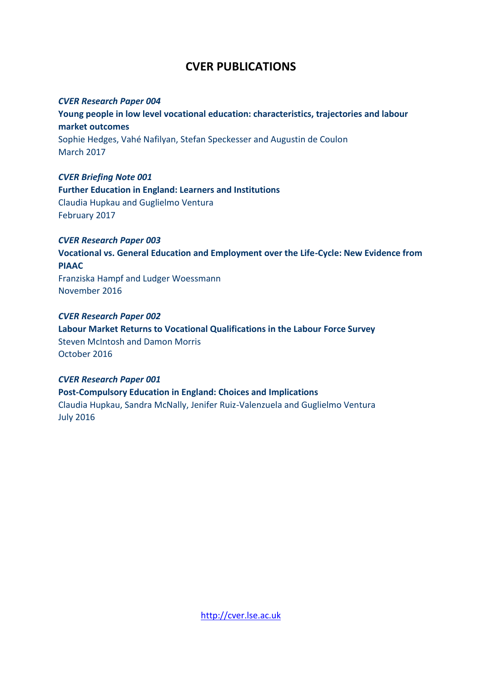### **CVER PUBLICATIONS**

#### *CVER Research Paper 004*

**Young people in low level vocational education: characteristics, trajectories and labour market outcomes**  Sophie Hedges, Vahé Nafilyan, Stefan Speckesser and Augustin de Coulon March 2017

#### *CVER Briefing Note 001*

**Further Education in England: Learners and Institutions**  Claudia Hupkau and Guglielmo Ventura February 2017

#### *CVER Research Paper 003*

**[Vocational vs. General Education and Employment over the Life-Cycle: New Evidence from](http://cver.lse.ac.uk/textonly/cver/pubs/cverdp003.pdf)  [PIAAC](http://cver.lse.ac.uk/textonly/cver/pubs/cverdp003.pdf)** 

Franziska Hampf and Ludger Woessmann November 2016

#### *CVER Research Paper 002*

**Labour Market Returns to Vocational Qualifications in the Labour Force Survey** Steven McIntosh and Damon Morris October 2016

#### *CVER Research Paper 001*

**Post-Compulsory Education in England: Choices and Implications**  Claudia Hupkau, Sandra McNally, Jenifer Ruiz-Valenzuela and Guglielmo Ventura July 2016